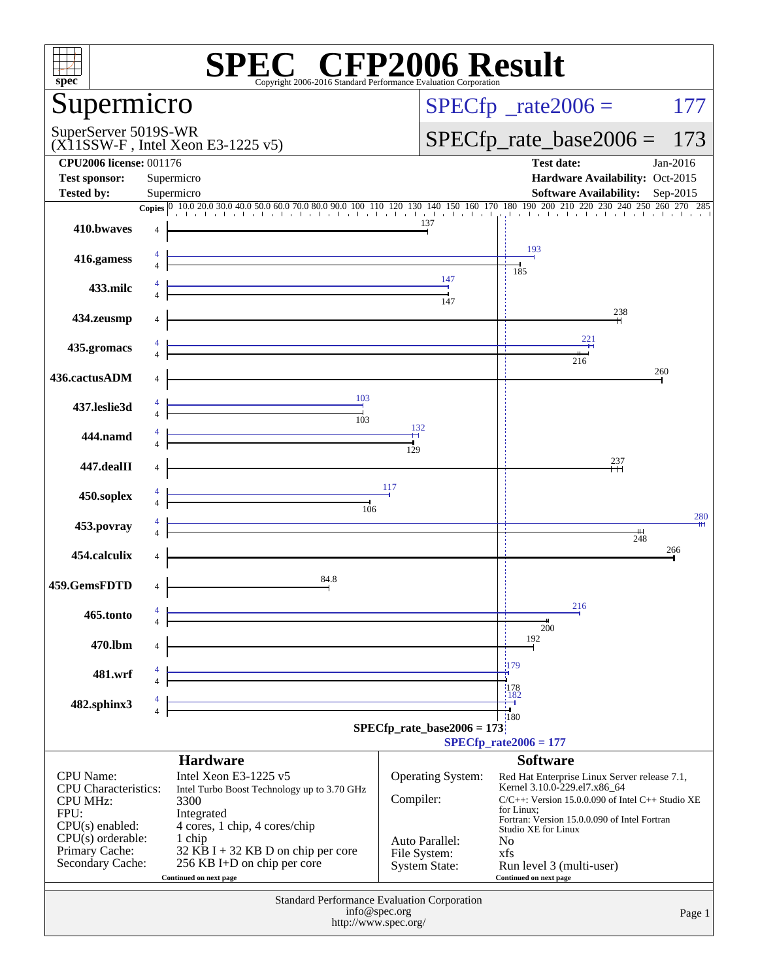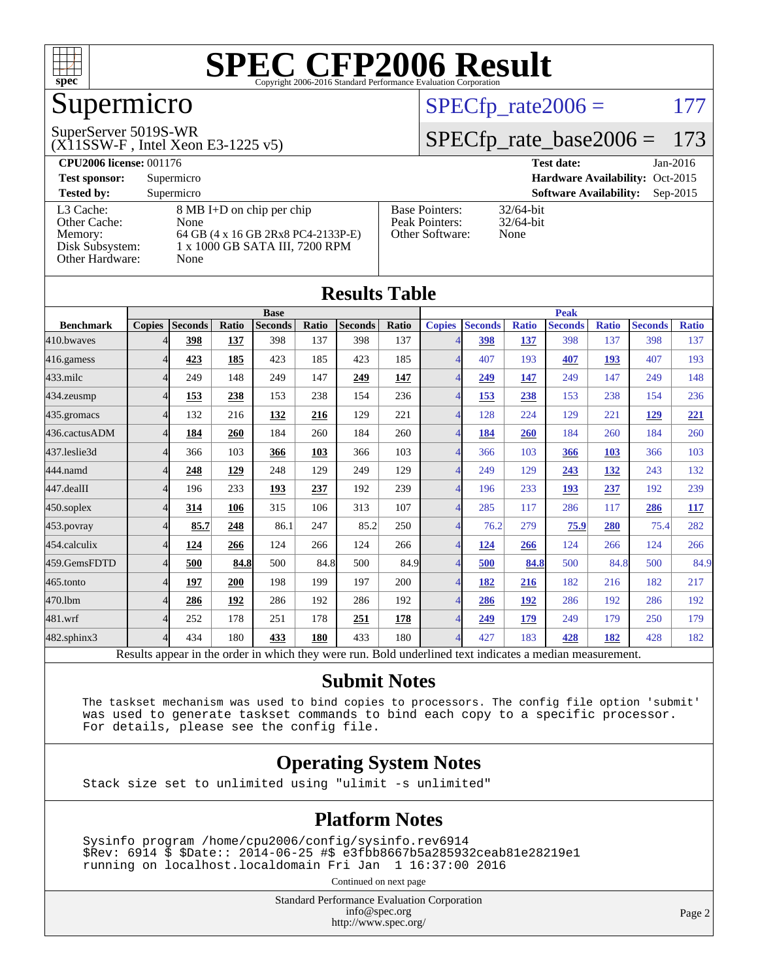

## Supermicro

#### SuperServer 5019S-WR

(X11SSW-F , Intel Xeon E3-1225 v5)

#### $SPECTp_rate2006 = 177$

#### [SPECfp\\_rate\\_base2006 =](http://www.spec.org/auto/cpu2006/Docs/result-fields.html#SPECfpratebase2006) 173

| <b>CPU2006 license: 001176</b> |                                    |                       | <b>Test date:</b><br>$Jan-2016$             |  |  |  |  |
|--------------------------------|------------------------------------|-----------------------|---------------------------------------------|--|--|--|--|
| <b>Test sponsor:</b>           | Supermicro                         |                       | Hardware Availability: Oct-2015             |  |  |  |  |
| <b>Tested by:</b>              | Supermicro                         |                       | <b>Software Availability:</b><br>$Sep-2015$ |  |  |  |  |
| L3 Cache:                      | 8 MB I+D on chip per chip          | <b>Base Pointers:</b> | $32/64$ -bit                                |  |  |  |  |
| Other Cache:                   | None                               | Peak Pointers:        | $32/64$ -bit                                |  |  |  |  |
| Memory:                        | 64 GB (4 x 16 GB 2Rx8 PC4-2133P-E) | Other Software:       | None                                        |  |  |  |  |
| Disk Subsystem:                | 1 x 1000 GB SATA III, 7200 RPM     |                       |                                             |  |  |  |  |
| Other Hardware:                | None                               |                       |                                             |  |  |  |  |

| <b>Results Table</b>                                                                                     |                |         |       |                |       |                |              |                |                |              |                |              |                |              |
|----------------------------------------------------------------------------------------------------------|----------------|---------|-------|----------------|-------|----------------|--------------|----------------|----------------|--------------|----------------|--------------|----------------|--------------|
|                                                                                                          | <b>Base</b>    |         |       | <b>Peak</b>    |       |                |              |                |                |              |                |              |                |              |
| <b>Benchmark</b>                                                                                         | <b>Copies</b>  | Seconds | Ratio | <b>Seconds</b> | Ratio | <b>Seconds</b> | <b>Ratio</b> | <b>Copies</b>  | <b>Seconds</b> | <b>Ratio</b> | <b>Seconds</b> | <b>Ratio</b> | <b>Seconds</b> | <b>Ratio</b> |
| 410.bwaves                                                                                               |                | 398     | 137   | 398            | 137   | 398            | 137          | Δ              | 398            | 137          | 398            | 137          | 398            | 137          |
| 416.gamess                                                                                               |                | 423     | 185   | 423            | 185   | 423            | 185          | $\overline{4}$ | 407            | 193          | 407            | 193          | 407            | 193          |
| $433$ .milc                                                                                              | $\Delta$       | 249     | 148   | 249            | 147   | 249            | 147          |                | 249            | 147          | 249            | 147          | 249            | 148          |
| 434.zeusmp                                                                                               |                | 153     | 238   | 153            | 238   | 154            | 236          |                | 153            | 238          | 153            | 238          | 154            | 236          |
| 435.gromacs                                                                                              | $\Delta$       | 132     | 216   | 132            | 216   | 129            | 221          | $\Delta$       | 128            | 224          | 129            | 221          | 129            | 221          |
| 436.cactusADM                                                                                            | $\overline{4}$ | 184     | 260   | 184            | 260   | 184            | 260          | 4              | 184            | 260          | 184            | 260          | 184            | 260          |
| 437.leslie3d                                                                                             |                | 366     | 103   | 366            | 103   | 366            | 103          | $\Lambda$      | 366            | 103          | 366            | 103          | 366            | 103          |
| 444.namd                                                                                                 |                | 248     | 129   | 248            | 129   | 249            | 129          |                | 249            | 129          | 243            | <u>132</u>   | 243            | 132          |
| 447.dealII                                                                                               | $\overline{4}$ | 196     | 233   | 193            | 237   | 192            | 239          | 4              | 196            | 233          | 193            | 237          | 192            | 239          |
| 450.soplex                                                                                               | $\Delta$       | 314     | 106   | 315            | 106   | 313            | 107          | $\Lambda$      | 285            | 117          | 286            | 117          | 286            | 117          |
| 453.povray                                                                                               |                | 85.7    | 248   | 86.1           | 247   | 85.2           | 250          | 4              | 76.2           | 279          | 75.9           | 280          | 75.4           | 282          |
| 454.calculix                                                                                             | $\overline{4}$ | 124     | 266   | 124            | 266   | 124            | 266          | $\Delta$       | <u>124</u>     | 266          | 124            | 266          | 124            | 266          |
| 459.GemsFDTD                                                                                             | $\overline{4}$ | 500     | 84.8  | 500            | 84.8  | 500            | 84.9         | 4              | 500            | 84.8         | 500            | 84.8         | 500            | 84.9         |
| 465.tonto                                                                                                |                | 197     | 200   | 198            | 199   | 197            | 200          |                | 182            | 216          | 182            | 216          | 182            | 217          |
| 470.1bm                                                                                                  | $\Delta$       | 286     | 192   | 286            | 192   | 286            | 192          | $\Delta$       | 286            | 192          | 286            | 192          | 286            | 192          |
| 481.wrf                                                                                                  |                | 252     | 178   | 251            | 178   | 251            | 178          | 4              | 249            | 179          | 249            | 179          | 250            | 179          |
| 482.sphinx3                                                                                              | $\overline{4}$ | 434     | 180   | 433            | 180   | 433            | 180          | $\Delta$       | 427            | 183          | 428            | 182          | 428            | 182          |
| Results appear in the order in which they were run. Bold underlined text indicates a median measurement. |                |         |       |                |       |                |              |                |                |              |                |              |                |              |

#### **[Submit Notes](http://www.spec.org/auto/cpu2006/Docs/result-fields.html#SubmitNotes)**

 The taskset mechanism was used to bind copies to processors. The config file option 'submit' was used to generate taskset commands to bind each copy to a specific processor. For details, please see the config file.

#### **[Operating System Notes](http://www.spec.org/auto/cpu2006/Docs/result-fields.html#OperatingSystemNotes)**

Stack size set to unlimited using "ulimit -s unlimited"

#### **[Platform Notes](http://www.spec.org/auto/cpu2006/Docs/result-fields.html#PlatformNotes)**

 Sysinfo program /home/cpu2006/config/sysinfo.rev6914 \$Rev: 6914 \$ \$Date:: 2014-06-25 #\$ e3fbb8667b5a285932ceab81e28219e1 running on localhost.localdomain Fri Jan 1 16:37:00 2016

Continued on next page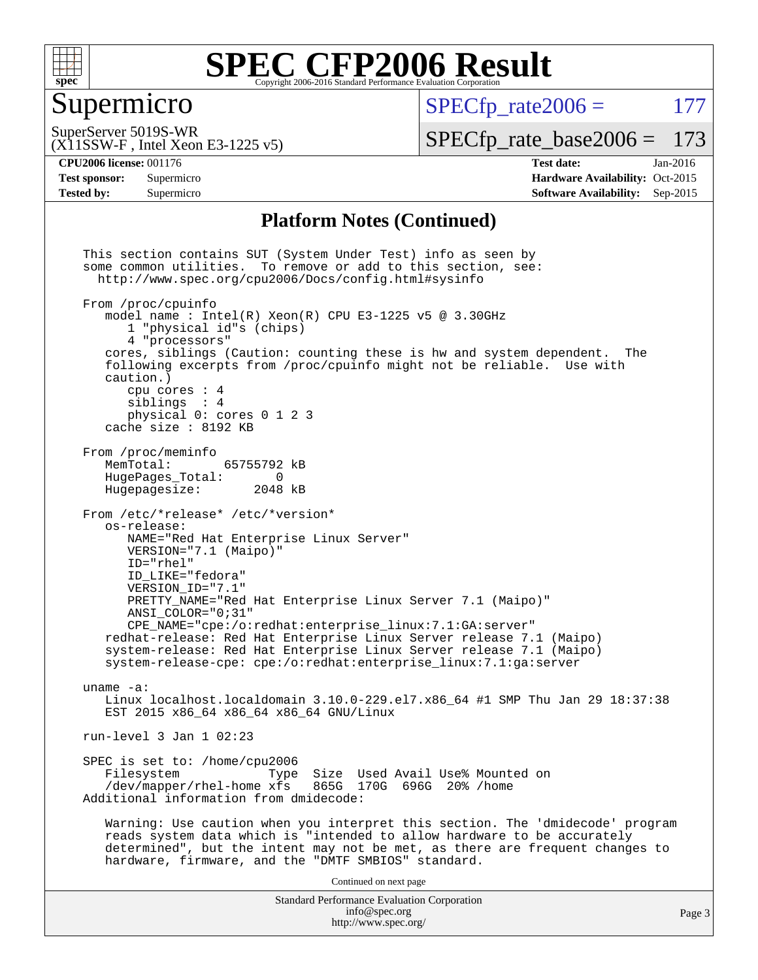

### Supermicro

 $SPECTp\_rate2006 = 177$ 

SuperServer 5019S-WR

[SPECfp\\_rate\\_base2006 =](http://www.spec.org/auto/cpu2006/Docs/result-fields.html#SPECfpratebase2006) 173

(X11SSW-F , Intel Xeon E3-1225 v5)

**[CPU2006 license:](http://www.spec.org/auto/cpu2006/Docs/result-fields.html#CPU2006license)** 001176 **[Test date:](http://www.spec.org/auto/cpu2006/Docs/result-fields.html#Testdate)** Jan-2016 **[Test sponsor:](http://www.spec.org/auto/cpu2006/Docs/result-fields.html#Testsponsor)** Supermicro Supermicro **[Hardware Availability:](http://www.spec.org/auto/cpu2006/Docs/result-fields.html#HardwareAvailability)** Oct-2015 **[Tested by:](http://www.spec.org/auto/cpu2006/Docs/result-fields.html#Testedby)** Supermicro **[Software Availability:](http://www.spec.org/auto/cpu2006/Docs/result-fields.html#SoftwareAvailability)** Sep-2015

#### **[Platform Notes \(Continued\)](http://www.spec.org/auto/cpu2006/Docs/result-fields.html#PlatformNotes)**

Standard Performance Evaluation Corporation [info@spec.org](mailto:info@spec.org) <http://www.spec.org/> This section contains SUT (System Under Test) info as seen by some common utilities. To remove or add to this section, see: <http://www.spec.org/cpu2006/Docs/config.html#sysinfo> From /proc/cpuinfo model name : Intel $(R)$  Xeon $(R)$  CPU E3-1225 v5 @ 3.30GHz 1 "physical id"s (chips) 4 "processors" cores, siblings (Caution: counting these is hw and system dependent. The following excerpts from /proc/cpuinfo might not be reliable. Use with caution.) cpu cores : 4 siblings : 4 physical 0: cores 0 1 2 3 cache size : 8192 KB From /proc/meminfo MemTotal: 65755792 kB<br>HugePages Total: 0 HugePages\_Total: 0<br>Hugepagesize: 2048 kB Hugepagesize: From /etc/\*release\* /etc/\*version\* os-release: NAME="Red Hat Enterprise Linux Server" VERSION="7.1 (Maipo)" ID="rhel" ID\_LIKE="fedora" VERSION\_ID="7.1" PRETTY\_NAME="Red Hat Enterprise Linux Server 7.1 (Maipo)" ANSI\_COLOR="0;31" CPE\_NAME="cpe:/o:redhat:enterprise\_linux:7.1:GA:server" redhat-release: Red Hat Enterprise Linux Server release 7.1 (Maipo) system-release: Red Hat Enterprise Linux Server release 7.1 (Maipo) system-release-cpe: cpe:/o:redhat:enterprise\_linux:7.1:ga:server uname -a: Linux localhost.localdomain 3.10.0-229.el7.x86\_64 #1 SMP Thu Jan 29 18:37:38 EST 2015 x86\_64 x86\_64 x86\_64 GNU/Linux run-level 3 Jan 1 02:23 SPEC is set to: /home/cpu2006<br>Filesystem Type Type Size Used Avail Use% Mounted on /dev/mapper/rhel-home xfs 865G 170G 696G 20% /home Additional information from dmidecode: Warning: Use caution when you interpret this section. The 'dmidecode' program reads system data which is "intended to allow hardware to be accurately determined", but the intent may not be met, as there are frequent changes to hardware, firmware, and the "DMTF SMBIOS" standard. Continued on next page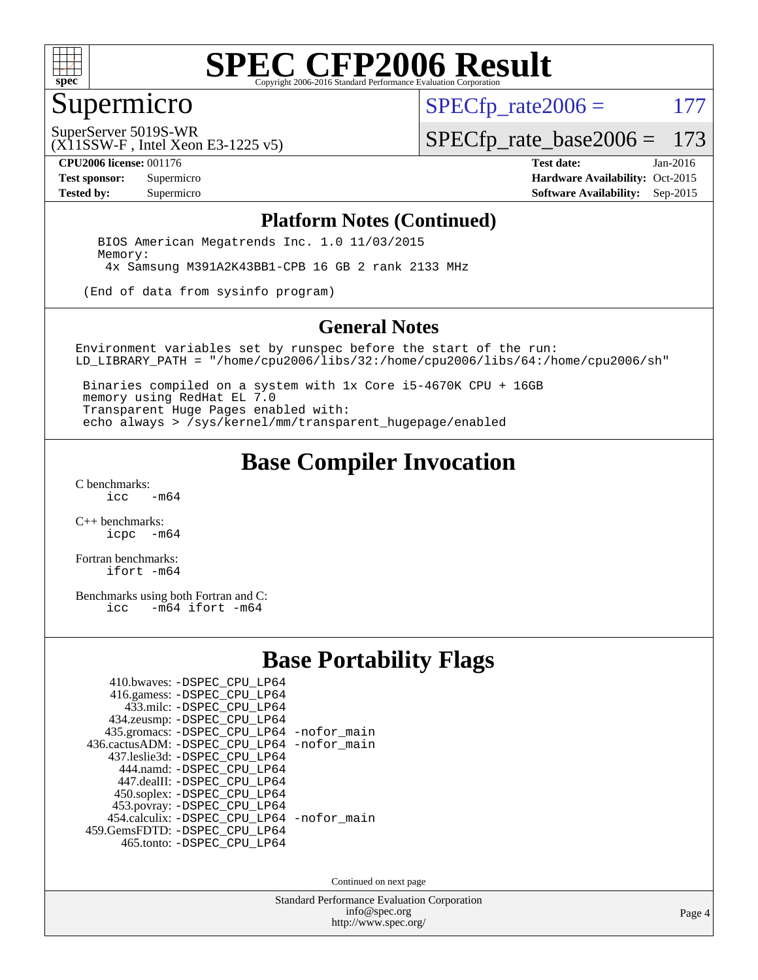

### Supermicro

 $SPECTp\_rate2006 = 177$ 

(X11SSW-F , Intel Xeon E3-1225 v5) SuperServer 5019S-WR

[SPECfp\\_rate\\_base2006 =](http://www.spec.org/auto/cpu2006/Docs/result-fields.html#SPECfpratebase2006) 173

**[CPU2006 license:](http://www.spec.org/auto/cpu2006/Docs/result-fields.html#CPU2006license)** 001176 **[Test date:](http://www.spec.org/auto/cpu2006/Docs/result-fields.html#Testdate)** Jan-2016 **[Test sponsor:](http://www.spec.org/auto/cpu2006/Docs/result-fields.html#Testsponsor)** Supermicro Supermicro **[Hardware Availability:](http://www.spec.org/auto/cpu2006/Docs/result-fields.html#HardwareAvailability)** Oct-2015 **[Tested by:](http://www.spec.org/auto/cpu2006/Docs/result-fields.html#Testedby)** Supermicro **Supermicro [Software Availability:](http://www.spec.org/auto/cpu2006/Docs/result-fields.html#SoftwareAvailability)** Sep-2015

#### **[Platform Notes \(Continued\)](http://www.spec.org/auto/cpu2006/Docs/result-fields.html#PlatformNotes)**

 BIOS American Megatrends Inc. 1.0 11/03/2015 Memory: 4x Samsung M391A2K43BB1-CPB 16 GB 2 rank 2133 MHz

(End of data from sysinfo program)

#### **[General Notes](http://www.spec.org/auto/cpu2006/Docs/result-fields.html#GeneralNotes)**

Environment variables set by runspec before the start of the run: LD\_LIBRARY\_PATH = "/home/cpu2006/libs/32:/home/cpu2006/libs/64:/home/cpu2006/sh"

 Binaries compiled on a system with 1x Core i5-4670K CPU + 16GB memory using RedHat EL 7.0 Transparent Huge Pages enabled with: echo always > /sys/kernel/mm/transparent\_hugepage/enabled

### **[Base Compiler Invocation](http://www.spec.org/auto/cpu2006/Docs/result-fields.html#BaseCompilerInvocation)**

[C benchmarks](http://www.spec.org/auto/cpu2006/Docs/result-fields.html#Cbenchmarks):  $-m64$ 

[C++ benchmarks:](http://www.spec.org/auto/cpu2006/Docs/result-fields.html#CXXbenchmarks) [icpc -m64](http://www.spec.org/cpu2006/results/res2016q1/cpu2006-20160106-38573.flags.html#user_CXXbase_intel_icpc_64bit_bedb90c1146cab66620883ef4f41a67e)

[Fortran benchmarks](http://www.spec.org/auto/cpu2006/Docs/result-fields.html#Fortranbenchmarks): [ifort -m64](http://www.spec.org/cpu2006/results/res2016q1/cpu2006-20160106-38573.flags.html#user_FCbase_intel_ifort_64bit_ee9d0fb25645d0210d97eb0527dcc06e)

[Benchmarks using both Fortran and C](http://www.spec.org/auto/cpu2006/Docs/result-fields.html#BenchmarksusingbothFortranandC):<br>icc -m64 ifort -m64  $-m64$  ifort  $-m64$ 

#### **[Base Portability Flags](http://www.spec.org/auto/cpu2006/Docs/result-fields.html#BasePortabilityFlags)**

| 410.bwaves: -DSPEC CPU LP64                 |  |
|---------------------------------------------|--|
| 416.gamess: -DSPEC_CPU_LP64                 |  |
| 433.milc: -DSPEC CPU LP64                   |  |
| 434.zeusmp: -DSPEC_CPU_LP64                 |  |
| 435.gromacs: -DSPEC_CPU_LP64 -nofor_main    |  |
| 436.cactusADM: -DSPEC CPU LP64 -nofor main  |  |
| 437.leslie3d: -DSPEC CPU LP64               |  |
| 444.namd: -DSPEC CPU LP64                   |  |
| 447.dealII: -DSPEC_CPU_LP64                 |  |
| 450.soplex: -DSPEC_CPU_LP64                 |  |
| 453.povray: -DSPEC_CPU_LP64                 |  |
| 454.calculix: - DSPEC CPU LP64 - nofor main |  |
| 459. GemsFDTD: - DSPEC CPU LP64             |  |
| 465.tonto: -DSPEC_CPU_LP64                  |  |

Continued on next page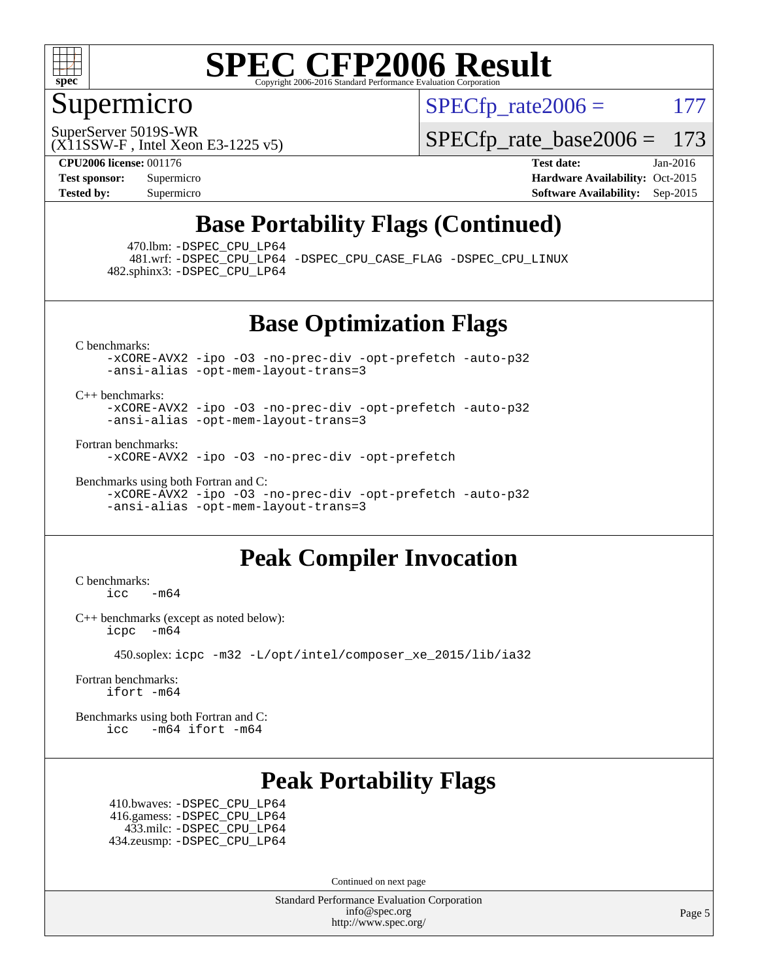

### Supermicro

 $SPECTp\_rate2006 = 177$ 

SuperServer 5019S-WR

[SPECfp\\_rate\\_base2006 =](http://www.spec.org/auto/cpu2006/Docs/result-fields.html#SPECfpratebase2006) 173

(X11SSW-F , Intel Xeon E3-1225 v5)

**[CPU2006 license:](http://www.spec.org/auto/cpu2006/Docs/result-fields.html#CPU2006license)** 001176 **[Test date:](http://www.spec.org/auto/cpu2006/Docs/result-fields.html#Testdate)** Jan-2016 **[Test sponsor:](http://www.spec.org/auto/cpu2006/Docs/result-fields.html#Testsponsor)** Supermicro Supermicro **[Hardware Availability:](http://www.spec.org/auto/cpu2006/Docs/result-fields.html#HardwareAvailability)** Oct-2015 **[Tested by:](http://www.spec.org/auto/cpu2006/Docs/result-fields.html#Testedby)** Supermicro **Supermicro [Software Availability:](http://www.spec.org/auto/cpu2006/Docs/result-fields.html#SoftwareAvailability)** Sep-2015

### **[Base Portability Flags \(Continued\)](http://www.spec.org/auto/cpu2006/Docs/result-fields.html#BasePortabilityFlags)**

470.lbm: [-DSPEC\\_CPU\\_LP64](http://www.spec.org/cpu2006/results/res2016q1/cpu2006-20160106-38573.flags.html#suite_basePORTABILITY470_lbm_DSPEC_CPU_LP64)

 481.wrf: [-DSPEC\\_CPU\\_LP64](http://www.spec.org/cpu2006/results/res2016q1/cpu2006-20160106-38573.flags.html#suite_basePORTABILITY481_wrf_DSPEC_CPU_LP64) [-DSPEC\\_CPU\\_CASE\\_FLAG](http://www.spec.org/cpu2006/results/res2016q1/cpu2006-20160106-38573.flags.html#b481.wrf_baseCPORTABILITY_DSPEC_CPU_CASE_FLAG) [-DSPEC\\_CPU\\_LINUX](http://www.spec.org/cpu2006/results/res2016q1/cpu2006-20160106-38573.flags.html#b481.wrf_baseCPORTABILITY_DSPEC_CPU_LINUX) 482.sphinx3: [-DSPEC\\_CPU\\_LP64](http://www.spec.org/cpu2006/results/res2016q1/cpu2006-20160106-38573.flags.html#suite_basePORTABILITY482_sphinx3_DSPEC_CPU_LP64)

**[Base Optimization Flags](http://www.spec.org/auto/cpu2006/Docs/result-fields.html#BaseOptimizationFlags)**

[C benchmarks](http://www.spec.org/auto/cpu2006/Docs/result-fields.html#Cbenchmarks):

[-xCORE-AVX2](http://www.spec.org/cpu2006/results/res2016q1/cpu2006-20160106-38573.flags.html#user_CCbase_f-xAVX2_5f5fc0cbe2c9f62c816d3e45806c70d7) [-ipo](http://www.spec.org/cpu2006/results/res2016q1/cpu2006-20160106-38573.flags.html#user_CCbase_f-ipo) [-O3](http://www.spec.org/cpu2006/results/res2016q1/cpu2006-20160106-38573.flags.html#user_CCbase_f-O3) [-no-prec-div](http://www.spec.org/cpu2006/results/res2016q1/cpu2006-20160106-38573.flags.html#user_CCbase_f-no-prec-div) [-opt-prefetch](http://www.spec.org/cpu2006/results/res2016q1/cpu2006-20160106-38573.flags.html#user_CCbase_f-opt-prefetch) [-auto-p32](http://www.spec.org/cpu2006/results/res2016q1/cpu2006-20160106-38573.flags.html#user_CCbase_f-auto-p32) [-ansi-alias](http://www.spec.org/cpu2006/results/res2016q1/cpu2006-20160106-38573.flags.html#user_CCbase_f-ansi-alias) [-opt-mem-layout-trans=3](http://www.spec.org/cpu2006/results/res2016q1/cpu2006-20160106-38573.flags.html#user_CCbase_f-opt-mem-layout-trans_a7b82ad4bd7abf52556d4961a2ae94d5)

[C++ benchmarks:](http://www.spec.org/auto/cpu2006/Docs/result-fields.html#CXXbenchmarks)

[-xCORE-AVX2](http://www.spec.org/cpu2006/results/res2016q1/cpu2006-20160106-38573.flags.html#user_CXXbase_f-xAVX2_5f5fc0cbe2c9f62c816d3e45806c70d7) [-ipo](http://www.spec.org/cpu2006/results/res2016q1/cpu2006-20160106-38573.flags.html#user_CXXbase_f-ipo) [-O3](http://www.spec.org/cpu2006/results/res2016q1/cpu2006-20160106-38573.flags.html#user_CXXbase_f-O3) [-no-prec-div](http://www.spec.org/cpu2006/results/res2016q1/cpu2006-20160106-38573.flags.html#user_CXXbase_f-no-prec-div) [-opt-prefetch](http://www.spec.org/cpu2006/results/res2016q1/cpu2006-20160106-38573.flags.html#user_CXXbase_f-opt-prefetch) [-auto-p32](http://www.spec.org/cpu2006/results/res2016q1/cpu2006-20160106-38573.flags.html#user_CXXbase_f-auto-p32) [-ansi-alias](http://www.spec.org/cpu2006/results/res2016q1/cpu2006-20160106-38573.flags.html#user_CXXbase_f-ansi-alias) [-opt-mem-layout-trans=3](http://www.spec.org/cpu2006/results/res2016q1/cpu2006-20160106-38573.flags.html#user_CXXbase_f-opt-mem-layout-trans_a7b82ad4bd7abf52556d4961a2ae94d5)

[Fortran benchmarks](http://www.spec.org/auto/cpu2006/Docs/result-fields.html#Fortranbenchmarks):

[-xCORE-AVX2](http://www.spec.org/cpu2006/results/res2016q1/cpu2006-20160106-38573.flags.html#user_FCbase_f-xAVX2_5f5fc0cbe2c9f62c816d3e45806c70d7) [-ipo](http://www.spec.org/cpu2006/results/res2016q1/cpu2006-20160106-38573.flags.html#user_FCbase_f-ipo) [-O3](http://www.spec.org/cpu2006/results/res2016q1/cpu2006-20160106-38573.flags.html#user_FCbase_f-O3) [-no-prec-div](http://www.spec.org/cpu2006/results/res2016q1/cpu2006-20160106-38573.flags.html#user_FCbase_f-no-prec-div) [-opt-prefetch](http://www.spec.org/cpu2006/results/res2016q1/cpu2006-20160106-38573.flags.html#user_FCbase_f-opt-prefetch)

[Benchmarks using both Fortran and C](http://www.spec.org/auto/cpu2006/Docs/result-fields.html#BenchmarksusingbothFortranandC): [-xCORE-AVX2](http://www.spec.org/cpu2006/results/res2016q1/cpu2006-20160106-38573.flags.html#user_CC_FCbase_f-xAVX2_5f5fc0cbe2c9f62c816d3e45806c70d7) [-ipo](http://www.spec.org/cpu2006/results/res2016q1/cpu2006-20160106-38573.flags.html#user_CC_FCbase_f-ipo) [-O3](http://www.spec.org/cpu2006/results/res2016q1/cpu2006-20160106-38573.flags.html#user_CC_FCbase_f-O3) [-no-prec-div](http://www.spec.org/cpu2006/results/res2016q1/cpu2006-20160106-38573.flags.html#user_CC_FCbase_f-no-prec-div) [-opt-prefetch](http://www.spec.org/cpu2006/results/res2016q1/cpu2006-20160106-38573.flags.html#user_CC_FCbase_f-opt-prefetch) [-auto-p32](http://www.spec.org/cpu2006/results/res2016q1/cpu2006-20160106-38573.flags.html#user_CC_FCbase_f-auto-p32) [-ansi-alias](http://www.spec.org/cpu2006/results/res2016q1/cpu2006-20160106-38573.flags.html#user_CC_FCbase_f-ansi-alias) [-opt-mem-layout-trans=3](http://www.spec.org/cpu2006/results/res2016q1/cpu2006-20160106-38573.flags.html#user_CC_FCbase_f-opt-mem-layout-trans_a7b82ad4bd7abf52556d4961a2ae94d5)

### **[Peak Compiler Invocation](http://www.spec.org/auto/cpu2006/Docs/result-fields.html#PeakCompilerInvocation)**

[C benchmarks](http://www.spec.org/auto/cpu2006/Docs/result-fields.html#Cbenchmarks):  $\text{icc}$  -m64

[C++ benchmarks \(except as noted below\):](http://www.spec.org/auto/cpu2006/Docs/result-fields.html#CXXbenchmarksexceptasnotedbelow) [icpc -m64](http://www.spec.org/cpu2006/results/res2016q1/cpu2006-20160106-38573.flags.html#user_CXXpeak_intel_icpc_64bit_bedb90c1146cab66620883ef4f41a67e)

450.soplex: [icpc -m32 -L/opt/intel/composer\\_xe\\_2015/lib/ia32](http://www.spec.org/cpu2006/results/res2016q1/cpu2006-20160106-38573.flags.html#user_peakCXXLD450_soplex_intel_icpc_c2c99686a1a582c3e0de0b4806b02cea)

[Fortran benchmarks](http://www.spec.org/auto/cpu2006/Docs/result-fields.html#Fortranbenchmarks): [ifort -m64](http://www.spec.org/cpu2006/results/res2016q1/cpu2006-20160106-38573.flags.html#user_FCpeak_intel_ifort_64bit_ee9d0fb25645d0210d97eb0527dcc06e)

[Benchmarks using both Fortran and C](http://www.spec.org/auto/cpu2006/Docs/result-fields.html#BenchmarksusingbothFortranandC): [icc -m64](http://www.spec.org/cpu2006/results/res2016q1/cpu2006-20160106-38573.flags.html#user_CC_FCpeak_intel_icc_64bit_0b7121f5ab7cfabee23d88897260401c) [ifort -m64](http://www.spec.org/cpu2006/results/res2016q1/cpu2006-20160106-38573.flags.html#user_CC_FCpeak_intel_ifort_64bit_ee9d0fb25645d0210d97eb0527dcc06e)

#### **[Peak Portability Flags](http://www.spec.org/auto/cpu2006/Docs/result-fields.html#PeakPortabilityFlags)**

 410.bwaves: [-DSPEC\\_CPU\\_LP64](http://www.spec.org/cpu2006/results/res2016q1/cpu2006-20160106-38573.flags.html#suite_peakPORTABILITY410_bwaves_DSPEC_CPU_LP64) 416.gamess: [-DSPEC\\_CPU\\_LP64](http://www.spec.org/cpu2006/results/res2016q1/cpu2006-20160106-38573.flags.html#suite_peakPORTABILITY416_gamess_DSPEC_CPU_LP64) 433.milc: [-DSPEC\\_CPU\\_LP64](http://www.spec.org/cpu2006/results/res2016q1/cpu2006-20160106-38573.flags.html#suite_peakPORTABILITY433_milc_DSPEC_CPU_LP64) 434.zeusmp: [-DSPEC\\_CPU\\_LP64](http://www.spec.org/cpu2006/results/res2016q1/cpu2006-20160106-38573.flags.html#suite_peakPORTABILITY434_zeusmp_DSPEC_CPU_LP64)

Continued on next page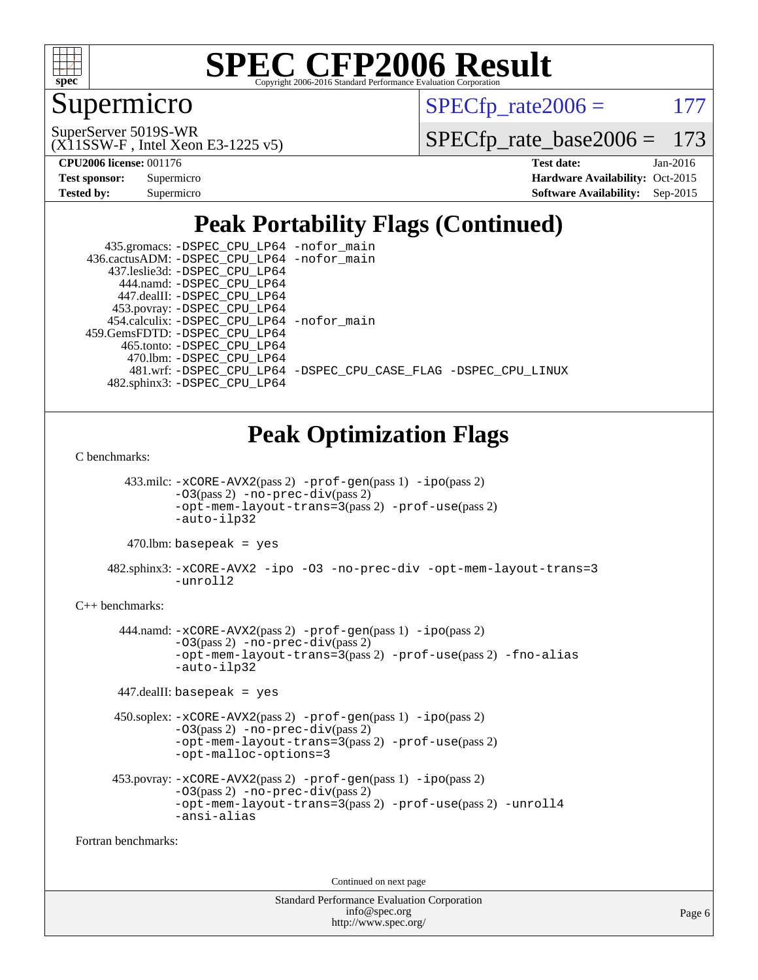

### Supermicro

 $SPECTp\_rate2006 = 177$ 

(X11SSW-F , Intel Xeon E3-1225 v5) SuperServer 5019S-WR

[SPECfp\\_rate\\_base2006 =](http://www.spec.org/auto/cpu2006/Docs/result-fields.html#SPECfpratebase2006) 173

**[CPU2006 license:](http://www.spec.org/auto/cpu2006/Docs/result-fields.html#CPU2006license)** 001176 **[Test date:](http://www.spec.org/auto/cpu2006/Docs/result-fields.html#Testdate)** Jan-2016

| <b>Test sponsor:</b> | Supermicro |
|----------------------|------------|
| <b>Tested by:</b>    | Supermicro |

**[Hardware Availability:](http://www.spec.org/auto/cpu2006/Docs/result-fields.html#HardwareAvailability)** Oct-2015 **[Software Availability:](http://www.spec.org/auto/cpu2006/Docs/result-fields.html#SoftwareAvailability)** Sep-2015

## **[Peak Portability Flags \(Continued\)](http://www.spec.org/auto/cpu2006/Docs/result-fields.html#PeakPortabilityFlags)**

| 435.gromacs: -DSPEC_CPU_LP64 -nofor_main    |                                                                |
|---------------------------------------------|----------------------------------------------------------------|
| 436.cactusADM: -DSPEC_CPU_LP64 -nofor_main  |                                                                |
| 437.leslie3d: -DSPEC_CPU_LP64               |                                                                |
| 444.namd: - DSPEC CPU LP64                  |                                                                |
| 447.dealII: -DSPEC_CPU LP64                 |                                                                |
| 453.povray: -DSPEC_CPU_LP64                 |                                                                |
| 454.calculix: - DSPEC CPU LP64 - nofor main |                                                                |
| 459. GemsFDTD: - DSPEC CPU LP64             |                                                                |
| 465.tonto: -DSPEC CPU LP64                  |                                                                |
| 470.1bm: - DSPEC CPU LP64                   |                                                                |
|                                             | 481.wrf: -DSPEC CPU_LP64 -DSPEC_CPU_CASE_FLAG -DSPEC_CPU_LINUX |
| 482.sphinx3: -DSPEC CPU LP64                |                                                                |

### **[Peak Optimization Flags](http://www.spec.org/auto/cpu2006/Docs/result-fields.html#PeakOptimizationFlags)**

[C benchmarks](http://www.spec.org/auto/cpu2006/Docs/result-fields.html#Cbenchmarks):

 433.milc: [-xCORE-AVX2](http://www.spec.org/cpu2006/results/res2016q1/cpu2006-20160106-38573.flags.html#user_peakPASS2_CFLAGSPASS2_LDFLAGS433_milc_f-xAVX2_5f5fc0cbe2c9f62c816d3e45806c70d7)(pass 2) [-prof-gen](http://www.spec.org/cpu2006/results/res2016q1/cpu2006-20160106-38573.flags.html#user_peakPASS1_CFLAGSPASS1_LDFLAGS433_milc_prof_gen_e43856698f6ca7b7e442dfd80e94a8fc)(pass 1) [-ipo](http://www.spec.org/cpu2006/results/res2016q1/cpu2006-20160106-38573.flags.html#user_peakPASS2_CFLAGSPASS2_LDFLAGS433_milc_f-ipo)(pass 2) [-O3](http://www.spec.org/cpu2006/results/res2016q1/cpu2006-20160106-38573.flags.html#user_peakPASS2_CFLAGSPASS2_LDFLAGS433_milc_f-O3)(pass 2) [-no-prec-div](http://www.spec.org/cpu2006/results/res2016q1/cpu2006-20160106-38573.flags.html#user_peakPASS2_CFLAGSPASS2_LDFLAGS433_milc_f-no-prec-div)(pass 2) [-opt-mem-layout-trans=3](http://www.spec.org/cpu2006/results/res2016q1/cpu2006-20160106-38573.flags.html#user_peakPASS2_CFLAGS433_milc_f-opt-mem-layout-trans_a7b82ad4bd7abf52556d4961a2ae94d5)(pass 2) [-prof-use](http://www.spec.org/cpu2006/results/res2016q1/cpu2006-20160106-38573.flags.html#user_peakPASS2_CFLAGSPASS2_LDFLAGS433_milc_prof_use_bccf7792157ff70d64e32fe3e1250b55)(pass 2) [-auto-ilp32](http://www.spec.org/cpu2006/results/res2016q1/cpu2006-20160106-38573.flags.html#user_peakCOPTIMIZE433_milc_f-auto-ilp32)

 $470.$ lbm: basepeak = yes

 482.sphinx3: [-xCORE-AVX2](http://www.spec.org/cpu2006/results/res2016q1/cpu2006-20160106-38573.flags.html#user_peakOPTIMIZE482_sphinx3_f-xAVX2_5f5fc0cbe2c9f62c816d3e45806c70d7) [-ipo](http://www.spec.org/cpu2006/results/res2016q1/cpu2006-20160106-38573.flags.html#user_peakOPTIMIZE482_sphinx3_f-ipo) [-O3](http://www.spec.org/cpu2006/results/res2016q1/cpu2006-20160106-38573.flags.html#user_peakOPTIMIZE482_sphinx3_f-O3) [-no-prec-div](http://www.spec.org/cpu2006/results/res2016q1/cpu2006-20160106-38573.flags.html#user_peakOPTIMIZE482_sphinx3_f-no-prec-div) [-opt-mem-layout-trans=3](http://www.spec.org/cpu2006/results/res2016q1/cpu2006-20160106-38573.flags.html#user_peakOPTIMIZE482_sphinx3_f-opt-mem-layout-trans_a7b82ad4bd7abf52556d4961a2ae94d5) [-unroll2](http://www.spec.org/cpu2006/results/res2016q1/cpu2006-20160106-38573.flags.html#user_peakCOPTIMIZE482_sphinx3_f-unroll_784dae83bebfb236979b41d2422d7ec2)

#### [C++ benchmarks:](http://www.spec.org/auto/cpu2006/Docs/result-fields.html#CXXbenchmarks)

 444.namd: [-xCORE-AVX2](http://www.spec.org/cpu2006/results/res2016q1/cpu2006-20160106-38573.flags.html#user_peakPASS2_CXXFLAGSPASS2_LDFLAGS444_namd_f-xAVX2_5f5fc0cbe2c9f62c816d3e45806c70d7)(pass 2) [-prof-gen](http://www.spec.org/cpu2006/results/res2016q1/cpu2006-20160106-38573.flags.html#user_peakPASS1_CXXFLAGSPASS1_LDFLAGS444_namd_prof_gen_e43856698f6ca7b7e442dfd80e94a8fc)(pass 1) [-ipo](http://www.spec.org/cpu2006/results/res2016q1/cpu2006-20160106-38573.flags.html#user_peakPASS2_CXXFLAGSPASS2_LDFLAGS444_namd_f-ipo)(pass 2)  $-03$ (pass 2)  $-$ no-prec-div(pass 2) [-opt-mem-layout-trans=3](http://www.spec.org/cpu2006/results/res2016q1/cpu2006-20160106-38573.flags.html#user_peakPASS2_CXXFLAGS444_namd_f-opt-mem-layout-trans_a7b82ad4bd7abf52556d4961a2ae94d5)(pass 2) [-prof-use](http://www.spec.org/cpu2006/results/res2016q1/cpu2006-20160106-38573.flags.html#user_peakPASS2_CXXFLAGSPASS2_LDFLAGS444_namd_prof_use_bccf7792157ff70d64e32fe3e1250b55)(pass 2) [-fno-alias](http://www.spec.org/cpu2006/results/res2016q1/cpu2006-20160106-38573.flags.html#user_peakCXXOPTIMIZE444_namd_f-no-alias_694e77f6c5a51e658e82ccff53a9e63a) [-auto-ilp32](http://www.spec.org/cpu2006/results/res2016q1/cpu2006-20160106-38573.flags.html#user_peakCXXOPTIMIZE444_namd_f-auto-ilp32)

447.dealII: basepeak = yes

```
 450.soplex: -xCORE-AVX2(pass 2) -prof-gen(pass 1) -ipo(pass 2)
-O3(pass 2) -no-prec-div(pass 2)
-opt-mem-layout-trans=3(pass 2) -prof-use(pass 2)
-opt-malloc-options=3
```

```
 453.povray: -xCORE-AVX2(pass 2) -prof-gen(pass 1) -ipo(pass 2)
 -O3(pass 2) -no-prec-div(pass 2)
 -opt-mem-layout-trans=3(pass 2) -prof-use(pass 2) -unroll4
 -ansi-alias
```
[Fortran benchmarks](http://www.spec.org/auto/cpu2006/Docs/result-fields.html#Fortranbenchmarks):

Continued on next page